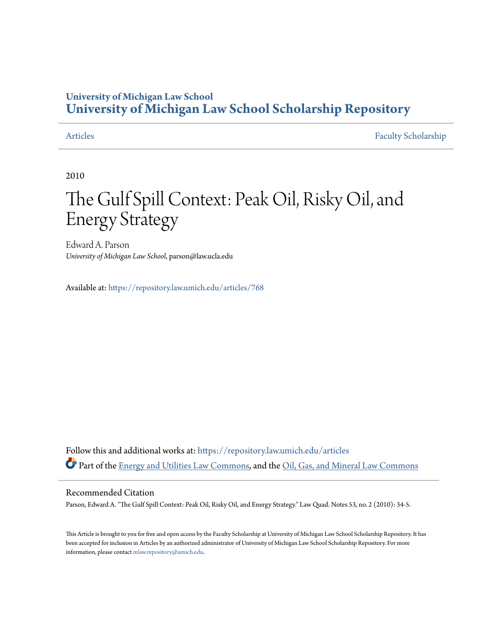### **University of Michigan Law School [University of Michigan Law School Scholarship Repository](https://repository.law.umich.edu?utm_source=repository.law.umich.edu%2Farticles%2F768&utm_medium=PDF&utm_campaign=PDFCoverPages)**

[Articles](https://repository.law.umich.edu/articles?utm_source=repository.law.umich.edu%2Farticles%2F768&utm_medium=PDF&utm_campaign=PDFCoverPages) [Faculty Scholarship](https://repository.law.umich.edu/faculty_scholarship?utm_source=repository.law.umich.edu%2Farticles%2F768&utm_medium=PDF&utm_campaign=PDFCoverPages)

2010

### The Gulf Spill Context: Peak Oil, Risky Oil, and Energy Strategy

Edward A. Parson *University of Michigan Law School*, parson@law.ucla.edu

Available at: <https://repository.law.umich.edu/articles/768>

Follow this and additional works at: [https://repository.law.umich.edu/articles](https://repository.law.umich.edu/articles?utm_source=repository.law.umich.edu%2Farticles%2F768&utm_medium=PDF&utm_campaign=PDFCoverPages) Part of the [Energy and Utilities Law Commons,](http://network.bepress.com/hgg/discipline/891?utm_source=repository.law.umich.edu%2Farticles%2F768&utm_medium=PDF&utm_campaign=PDFCoverPages) and the [Oil, Gas, and Mineral Law Commons](http://network.bepress.com/hgg/discipline/864?utm_source=repository.law.umich.edu%2Farticles%2F768&utm_medium=PDF&utm_campaign=PDFCoverPages)

#### Recommended Citation

Parson, Edward A. "The Gulf Spill Context: Peak Oil, Risky Oil, and Energy Strategy." Law Quad. Notes 53, no. 2 (2010): 34-5.

This Article is brought to you for free and open access by the Faculty Scholarship at University of Michigan Law School Scholarship Repository. It has been accepted for inclusion in Articles by an authorized administrator of University of Michigan Law School Scholarship Repository. For more information, please contact [mlaw.repository@umich.edu.](mailto:mlaw.repository@umich.edu)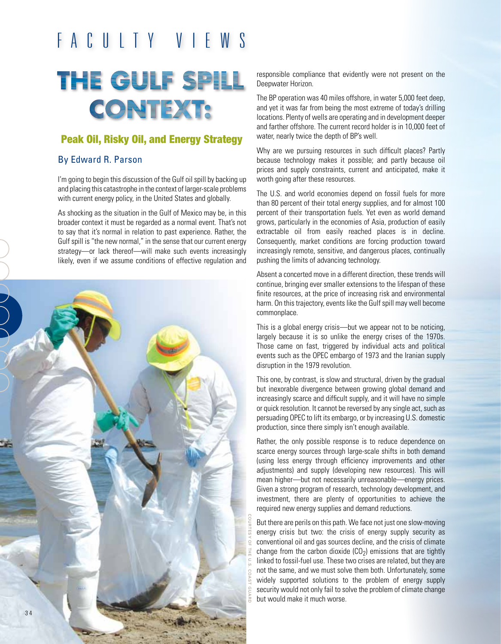## F a c u l t y V I E W S

# THE GULF SPILL **CONTEXT:**

### Peak Oil, Risky Oil, and Energy Strategy

### By Edward R. Parson

I'm going to begin this discussion of the Gulf oil spill by backing up and placing this catastrophe in the context of larger-scale problems with current energy policy, in the United States and globally.

As shocking as the situation in the Gulf of Mexico may be, in this broader context it must be regarded as a normal event. That's not to say that it's normal in relation to past experience. Rather, the Gulf spill is "the new normal," in the sense that our current energy strategy—or lack thereof—will make such events increasingly likely, even if we assume conditions of effective regulation and



responsible compliance that evidently were not present on the Deepwater Horizon.

The BP operation was 40 miles offshore, in water 5,000 feet deep, and yet it was far from being the most extreme of today's drilling locations. Plenty of wells are operating and in development deeper and farther offshore. The current record holder is in 10,000 feet of water, nearly twice the depth of BP's well.

Why are we pursuing resources in such difficult places? Partly because technology makes it possible; and partly because oil prices and supply constraints, current and anticipated, make it worth going after these resources.

The U.S. and world economies depend on fossil fuels for more than 80 percent of their total energy supplies, and for almost 100 percent of their transportation fuels. Yet even as world demand grows, particularly in the economies of Asia, production of easily extractable oil from easily reached places is in decline. Consequently, market conditions are forcing production toward increasingly remote, sensitive, and dangerous places, continually pushing the limits of advancing technology.

Absent a concerted move in a different direction, these trends will continue, bringing ever smaller extensions to the lifespan of these finite resources, at the price of increasing risk and environmental harm. On this trajectory, events like the Gulf spill may well become commonplace.

This is a global energy crisis—but we appear not to be noticing, largely because it is so unlike the energy crises of the 1970s. Those came on fast, triggered by individual acts and political events such as the OPEC embargo of 1973 and the Iranian supply disruption in the 1979 revolution.

This one, by contrast, is slow and structural, driven by the gradual but inexorable divergence between growing global demand and increasingly scarce and difficult supply, and it will have no simple or quick resolution. It cannot be reversed by any single act, such as persuading OPEC to lift its embargo, or by increasing U.S. domestic production, since there simply isn't enough available.

Rather, the only possible response is to reduce dependence on scarce energy sources through large-scale shifts in both demand (using less energy through efficiency improvements and other adjustments) and supply (developing new resources). This will mean higher—but not necessarily unreasonable—energy prices. Given a strong program of research, technology development, and investment, there are plenty of opportunities to achieve the required new energy supplies and demand reductions.

But there are perils on this path. We face not just one slow-moving energy crisis but two: the crisis of energy supply security as conventional oil and gas sources decline, and the crisis of climate change from the carbon dioxide  $(CO<sub>2</sub>)$  emissions that are tightly linked to fossil-fuel use. These two crises are related, but they are not the same, and we must solve them both. Unfortunately, some widely supported solutions to the problem of energy supply security would not only fail to solve the problem of climate change but would make it much worse.